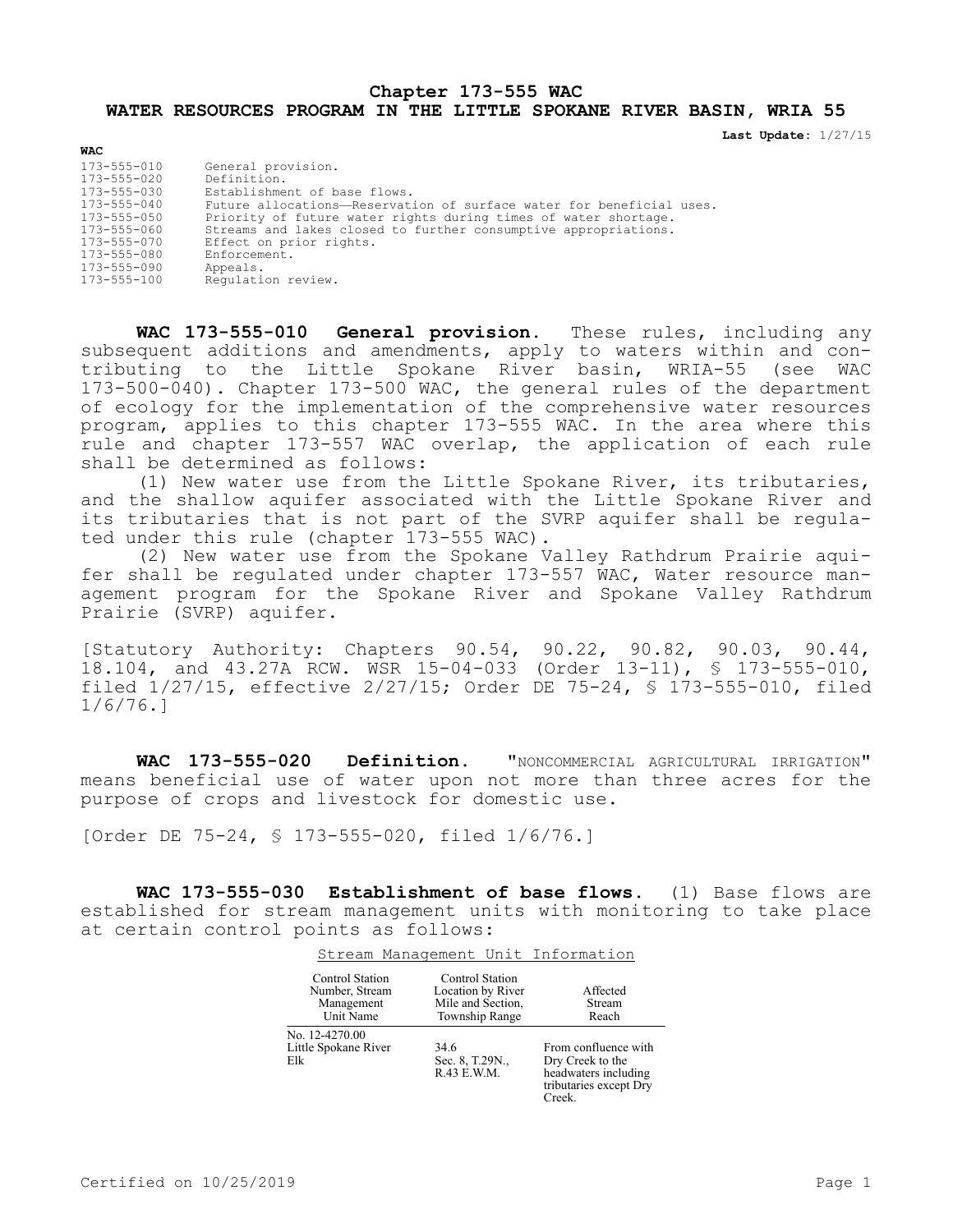## **Chapter 173-555 WAC WATER RESOURCES PROGRAM IN THE LITTLE SPOKANE RIVER BASIN, WRIA 55**

**Last Update:** 1/27/15

| <b>WAC</b>                                                                                                                                                     |                                                                                                                                                                                                                                                                                                                                                              |
|----------------------------------------------------------------------------------------------------------------------------------------------------------------|--------------------------------------------------------------------------------------------------------------------------------------------------------------------------------------------------------------------------------------------------------------------------------------------------------------------------------------------------------------|
| 173-555-010<br>173-555-020<br>173-555-030<br>$173 - 555 - 040$<br>173-555-050<br>173-555-060<br>$173 - 555 - 070$<br>173-555-080<br>173-555-090<br>173-555-100 | General provision.<br>Definition.<br>Establishment of base flows.<br>Future allocations-Reservation of surface water for beneficial uses.<br>Priority of future water rights during times of water shortage.<br>Streams and lakes closed to further consumptive appropriations.<br>Effect on prior rights.<br>Enforcement.<br>Appeals.<br>Requlation review. |
|                                                                                                                                                                |                                                                                                                                                                                                                                                                                                                                                              |

**WAC 173-555-010 General provision.** These rules, including any subsequent additions and amendments, apply to waters within and contributing to the Little Spokane River basin, WRIA-55 (see WAC 173-500-040). Chapter 173-500 WAC, the general rules of the department of ecology for the implementation of the comprehensive water resources program, applies to this chapter 173-555 WAC. In the area where this rule and chapter 173-557 WAC overlap, the application of each rule shall be determined as follows:

(1) New water use from the Little Spokane River, its tributaries, and the shallow aquifer associated with the Little Spokane River and its tributaries that is not part of the SVRP aquifer shall be regulated under this rule (chapter 173-555 WAC).

(2) New water use from the Spokane Valley Rathdrum Prairie aquifer shall be regulated under chapter 173-557 WAC, Water resource management program for the Spokane River and Spokane Valley Rathdrum Prairie (SVRP) aquifer.

[Statutory Authority: Chapters 90.54, 90.22, 90.82, 90.03, 90.44, 18.104, and 43.27A RCW. WSR 15-04-033 (Order 13-11), § 173-555-010, filed 1/27/15, effective 2/27/15; Order DE 75-24, § 173-555-010, filed 1/6/76.]

**WAC 173-555-020 Definition.** "NONCOMMERCIAL AGRICULTURAL IRRIGATION" means beneficial use of water upon not more than three acres for the purpose of crops and livestock for domestic use.

[Order DE 75-24, § 173-555-020, filed 1/6/76.]

**WAC 173-555-030 Establishment of base flows.** (1) Base flows are established for stream management units with monitoring to take place at certain control points as follows:

Stream Management Unit Information

| <b>Control Station</b><br>Number, Stream<br>Management<br>Unit Name | <b>Control Station</b><br>Location by River<br>Mile and Section,<br>Township Range | Affected<br>Stream<br>Reach                                                                          |
|---------------------------------------------------------------------|------------------------------------------------------------------------------------|------------------------------------------------------------------------------------------------------|
| No. 12-4270.00<br>Little Spokane River<br>Elk                       | 34.6<br>Sec. 8, T.29N.,<br>R.43 E.W.M.                                             | From confluence with<br>Dry Creek to the<br>headwaters including<br>tributaries except Dry<br>Creek. |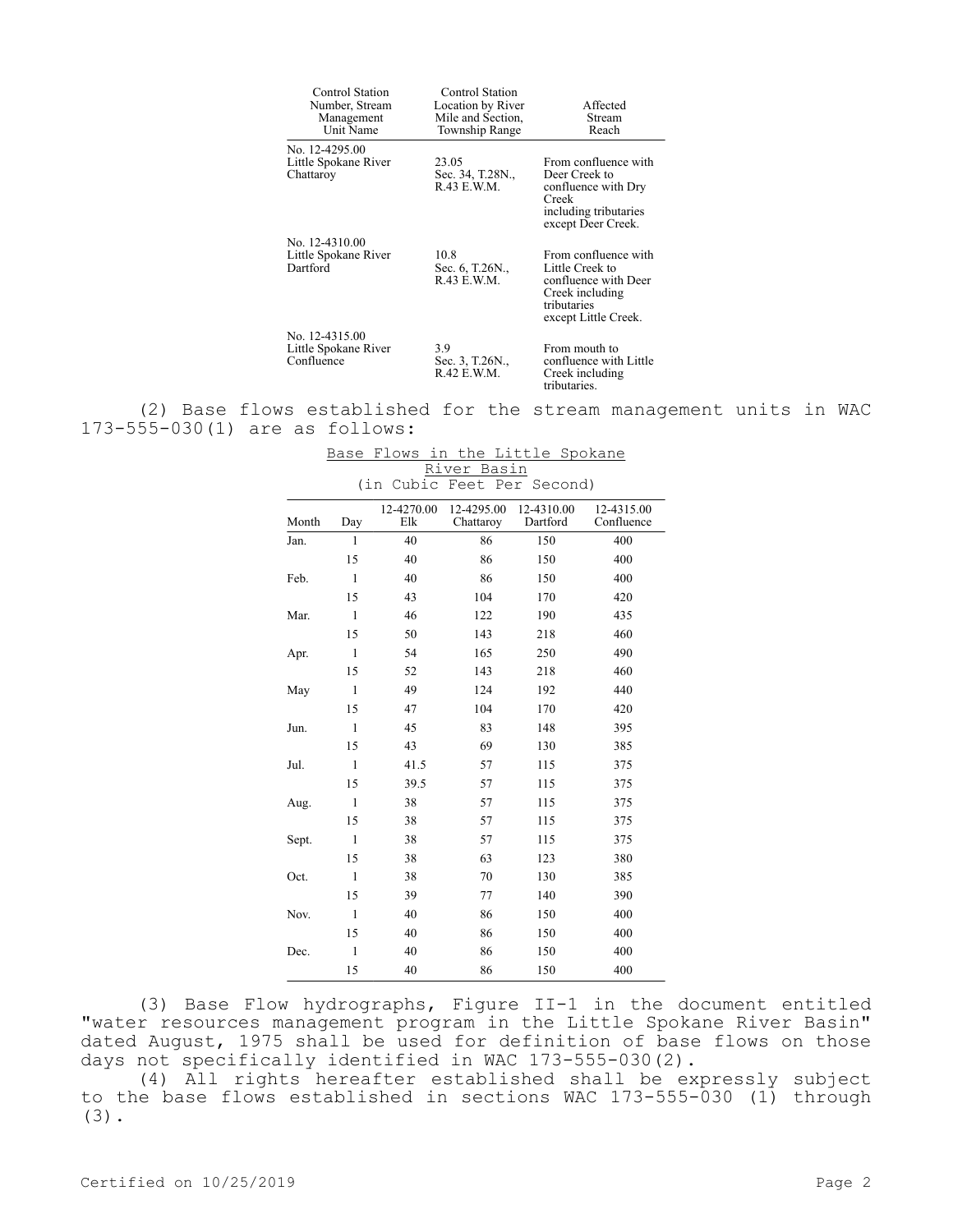| Control Station<br>Number, Stream<br>Management<br>Unit Name | Control Station<br>Location by River<br>Mile and Section,<br>Township Range | Affected<br>Stream<br>Reach                                                                                               |
|--------------------------------------------------------------|-----------------------------------------------------------------------------|---------------------------------------------------------------------------------------------------------------------------|
| No. 12-4295.00<br>Little Spokane River<br>Chattaroy          | 23.05<br>Sec. 34, T.28N.,<br>R.43 E.W.M.                                    | From confluence with<br>Deer Creek to<br>confluence with Dry<br>Creek<br>including tributaries<br>except Deer Creek.      |
| No. 12-4310.00<br>Little Spokane River<br>Dartford           | 10.8<br>Sec. 6, T.26N.,<br>R.43 E.W.M.                                      | From confluence with<br>Little Creek to<br>confluence with Deer<br>Creek including<br>tributaries<br>except Little Creek. |
| No. 12-4315.00<br>Little Spokane River<br>Confluence         | 3.9<br>Sec. 3, T.26N.,<br>R.42 E.W.M.                                       | From mouth to<br>confluence with Little<br>Creek including<br>tributaries.                                                |

(2) Base flows established for the stream management units in WAC 173-555-030(1) are as follows:

| Month | Day          | 12-4270.00<br>Elk | 12-4295.00<br>Chattaroy | 12-4310.00<br>Dartford | 12-4315.00<br>Confluence |
|-------|--------------|-------------------|-------------------------|------------------------|--------------------------|
| Jan.  | $\mathbf{1}$ | 40                | 86                      | 150                    | 400                      |
|       | 15           | 40                | 86                      | 150                    | 400                      |
| Feb.  | 1            | 40                | 86                      | 150                    | 400                      |
|       | 15           | 43                | 104                     | 170                    | 420                      |
| Mar.  | $\mathbf{1}$ | 46                | 122                     | 190                    | 435                      |
|       | 15           | 50                | 143                     | 218                    | 460                      |
| Apr.  | $\mathbf{1}$ | 54                | 165                     | 250                    | 490                      |
|       | 15           | 52                | 143                     | 218                    | 460                      |
| May   | $\mathbf{1}$ | 49                | 124                     | 192                    | 440                      |
|       | 15           | 47                | 104                     | 170                    | 420                      |
| Jun.  | $\mathbf{1}$ | 45                | 83                      | 148                    | 395                      |
|       | 15           | 43                | 69                      | 130                    | 385                      |
| Jul.  | $\mathbf{1}$ | 41.5              | 57                      | 115                    | 375                      |
|       | 15           | 39.5              | 57                      | 115                    | 375                      |
| Aug.  | $\mathbf{1}$ | 38                | 57                      | 115                    | 375                      |
|       | 15           | 38                | 57                      | 115                    | 375                      |
| Sept. | $\mathbf{1}$ | 38                | 57                      | 115                    | 375                      |
|       | 15           | 38                | 63                      | 123                    | 380                      |
| Oct.  | 1            | 38                | 70                      | 130                    | 385                      |
|       | 15           | 39                | 77                      | 140                    | 390                      |
| Nov.  | $\mathbf{1}$ | 40                | 86                      | 150                    | 400                      |
|       | 15           | 40                | 86                      | 150                    | 400                      |
| Dec.  | $\mathbf{1}$ | 40                | 86                      | 150                    | 400                      |
|       | 15           | 40                | 86                      | 150                    | 400                      |

Base Flows in the Little Spokane River Basin (in Cubic Feet Per Second)

(3) Base Flow hydrographs, Figure II-1 in the document entitled "water resources management program in the Little Spokane River Basin" dated August, 1975 shall be used for definition of base flows on those days not specifically identified in WAC 173-555-030(2).

(4) All rights hereafter established shall be expressly subject to the base flows established in sections WAC 173-555-030 (1) through (3).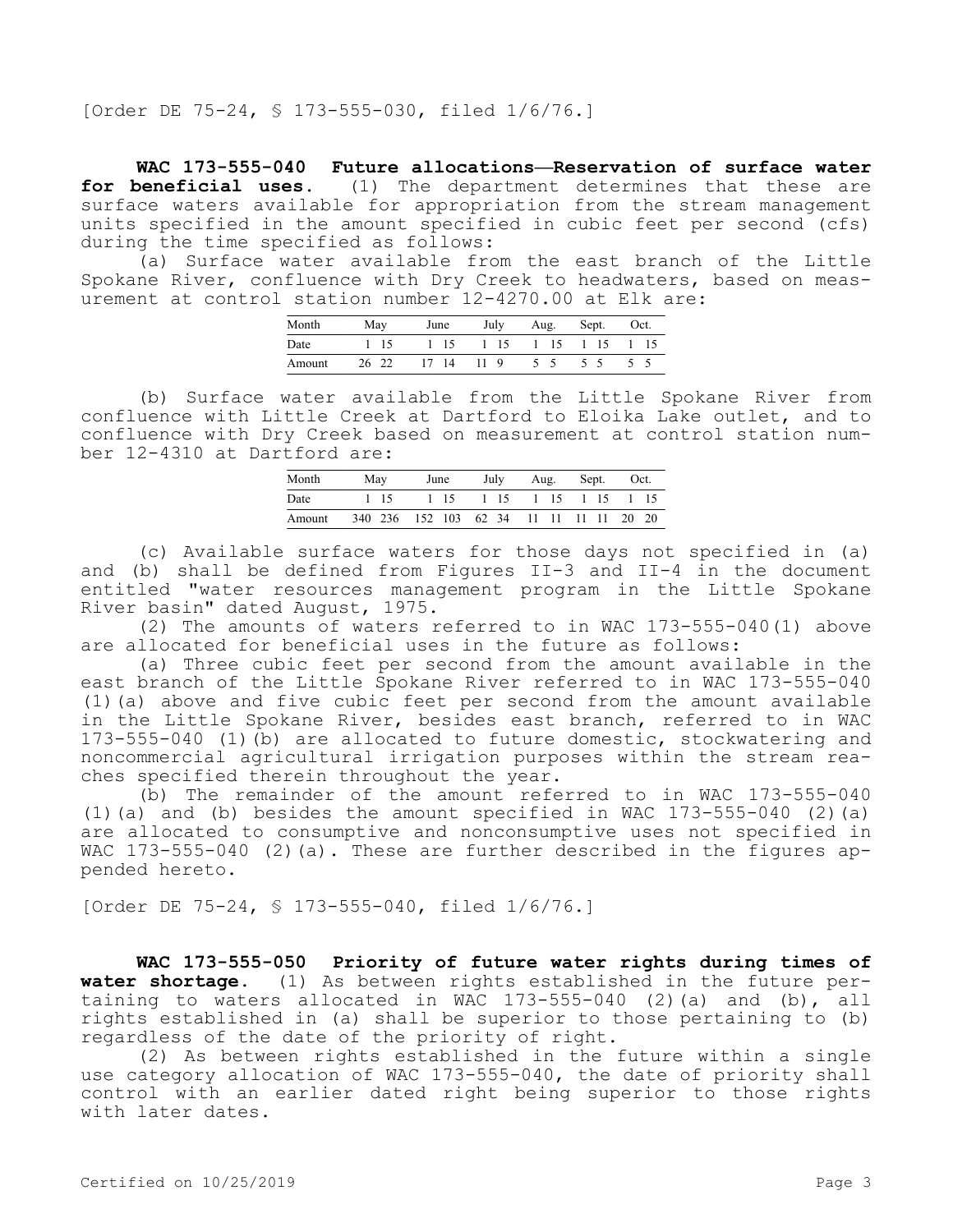[Order DE 75-24, § 173-555-030, filed 1/6/76.]

**WAC 173-555-040 Future allocations—Reservation of surface water for beneficial uses.** (1) The department determines that these are surface waters available for appropriation from the stream management units specified in the amount specified in cubic feet per second (cfs) during the time specified as follows:

(a) Surface water available from the east branch of the Little Spokane River, confluence with Dry Creek to headwaters, based on measurement at control station number 12-4270.00 at Elk are:

| Month  | May   | June  | July | Aug. | Sept. | Oct. |
|--------|-------|-------|------|------|-------|------|
| Date   | 1 15  | 1 15  | 1 15 | 1 15 | 1 15  | 1 15 |
| Amount | 26 22 | 17 14 | 11 9 | 5 5  |       |      |

(b) Surface water available from the Little Spokane River from confluence with Little Creek at Dartford to Eloika Lake outlet, and to confluence with Dry Creek based on measurement at control station number 12-4310 at Dartford are:

| Month  | May  | June                                    | July | Aug. | Sept. Oct. |      |
|--------|------|-----------------------------------------|------|------|------------|------|
| Date   | 1 15 | 1 15                                    | 1 15 |      | 1 15 1 15  | 1 15 |
| Amount |      | 340 236 152 103 62 34 11 11 11 11 20 20 |      |      |            |      |

(c) Available surface waters for those days not specified in (a) and (b) shall be defined from Figures II-3 and II-4 in the document entitled "water resources management program in the Little Spokane River basin" dated August, 1975.

(2) The amounts of waters referred to in WAC 173-555-040(1) above are allocated for beneficial uses in the future as follows:

(a) Three cubic feet per second from the amount available in the east branch of the Little Spokane River referred to in WAC 173-555-040 (1)(a) above and five cubic feet per second from the amount available in the Little Spokane River, besides east branch, referred to in WAC 173-555-040 (1)(b) are allocated to future domestic, stockwatering and noncommercial agricultural irrigation purposes within the stream reaches specified therein throughout the year.

(b) The remainder of the amount referred to in WAC 173-555-040 (1)(a) and (b) besides the amount specified in WAC 173-555-040 (2)(a) are allocated to consumptive and nonconsumptive uses not specified in WAC 173-555-040 (2)(a). These are further described in the figures appended hereto.

[Order DE 75-24, § 173-555-040, filed 1/6/76.]

**WAC 173-555-050 Priority of future water rights during times of water shortage.** (1) As between rights established in the future pertaining to waters allocated in WAC 173-555-040 (2)(a) and (b), all rights established in (a) shall be superior to those pertaining to (b) regardless of the date of the priority of right.

(2) As between rights established in the future within a single use category allocation of WAC 173-555-040, the date of priority shall control with an earlier dated right being superior to those rights with later dates.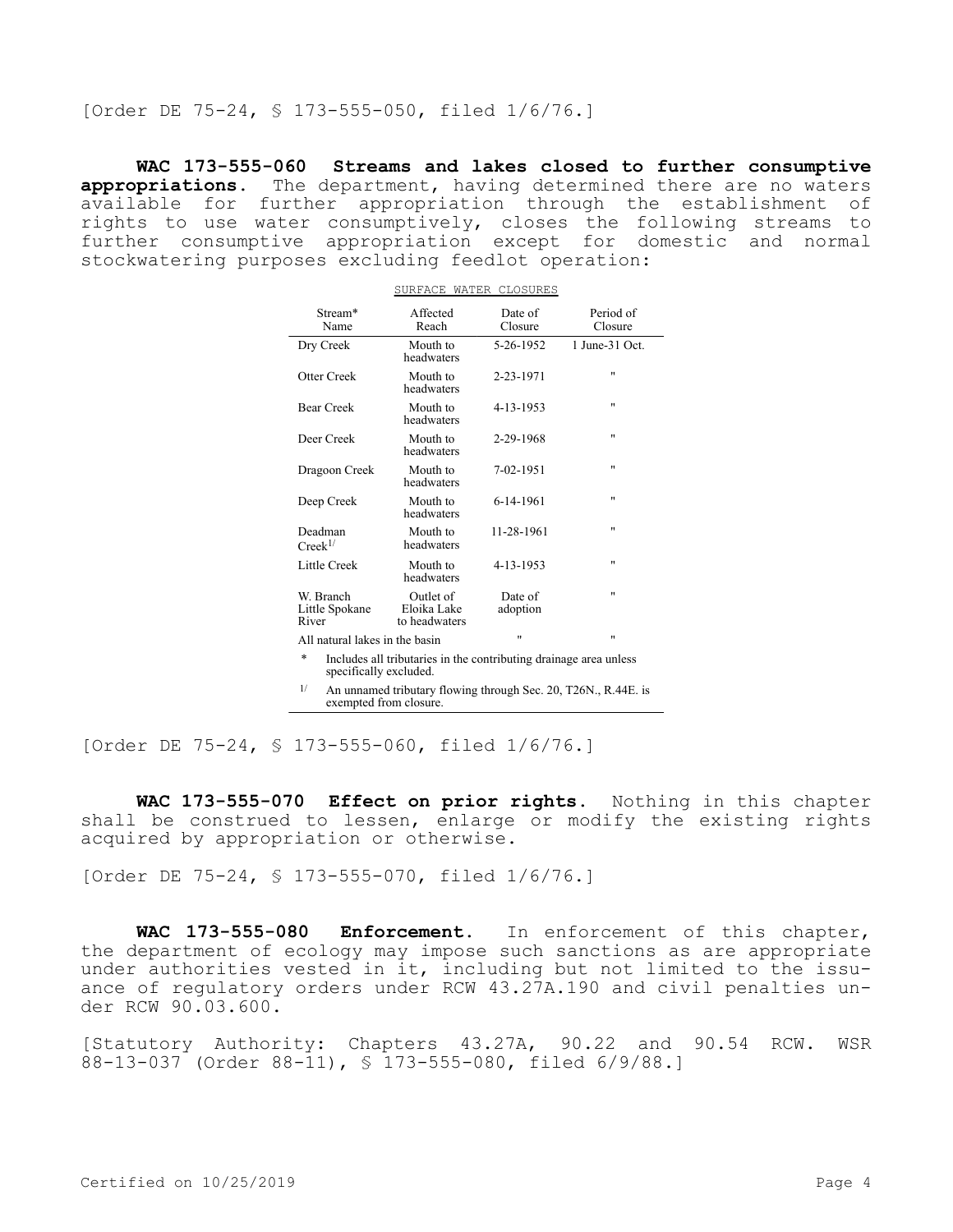[Order DE 75-24, § 173-555-050, filed 1/6/76.]

**WAC 173-555-060 Streams and lakes closed to further consumptive appropriations.** The department, having determined there are no waters available for further appropriation through the establishment of rights to use water consumptively, closes the following streams to further consumptive appropriation except for domestic and normal stockwatering purposes excluding feedlot operation:

| Stream*<br>Name                      | Affected<br>Reach                         | Date of<br>Closure  | Period of<br>Closure |
|--------------------------------------|-------------------------------------------|---------------------|----------------------|
| Dry Creek                            | Mouth to<br>headwaters                    | 5-26-1952           | $1$ June-31 Oct.     |
| Otter Creek                          | Mouth to<br>headwaters                    | 2-23-1971           | $^{\dagger}$         |
| <b>Bear Creek</b>                    | Mouth to<br>headwaters                    | 4-13-1953           | "                    |
| Deer Creek                           | Mouth to<br>headwaters                    | 2-29-1968           | "                    |
| Dragoon Creek                        | Mouth to<br>headwaters                    | 7-02-1951           | "                    |
| Deep Creek                           | Mouth to<br>headwaters                    | 6-14-1961           | "                    |
| Deadman<br>$Creek^{1/2}$             | Mouth to<br>headwaters                    | 11-28-1961          | "                    |
| Little Creek                         | Mouth to<br>headwaters                    | 4-13-1953           | "                    |
| W. Branch<br>Little Spokane<br>River | Outlet of<br>Eloika Lake<br>to headwaters | Date of<br>adoption | "                    |
| All natural lakes in the basin       |                                           | $^{\dagger}$        | "                    |

SURFACE WATER CLOSURES

- \* Includes all tributaries in the contributing drainage area unless specifically excluded.
- 1/ An unnamed tributary flowing through Sec. 20, T26N., R.44E. is exempted from closure.

[Order DE 75-24, § 173-555-060, filed 1/6/76.]

**WAC 173-555-070 Effect on prior rights.** Nothing in this chapter shall be construed to lessen, enlarge or modify the existing rights acquired by appropriation or otherwise.

[Order DE 75-24, § 173-555-070, filed 1/6/76.]

**WAC 173-555-080 Enforcement.** In enforcement of this chapter, the department of ecology may impose such sanctions as are appropriate under authorities vested in it, including but not limited to the issuance of regulatory orders under RCW 43.27A.190 and civil penalties under RCW 90.03.600.

[Statutory Authority: Chapters 43.27A, 90.22 and 90.54 RCW. WSR 88-13-037 (Order 88-11), § 173-555-080, filed 6/9/88.]